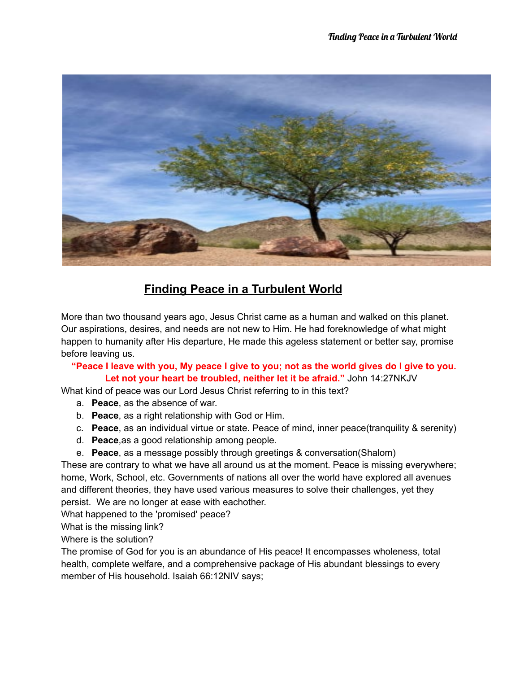

## **Finding Peace in a Turbulent World**

More than two thousand years ago, Jesus Christ came as a human and walked on this planet. Our aspirations, desires, and needs are not new to Him. He had foreknowledge of what might happen to humanity after His departure, He made this ageless statement or better say, promise before leaving us.

"Peace I leave with you, My peace I give to you; not as the world gives do I give to you. **Let not your heart be troubled, neither let it be afraid."** John 14:27NKJV

What kind of peace was our Lord Jesus Christ referring to in this text?

- a. **Peace**, as the absence of war.
- b. **Peace**, as a right relationship with God or Him.
- c. **Peace**, as an individual virtue or state. Peace of mind, inner peace(tranquility & serenity)
- d. **Peace**,as a good relationship among people.
- e. **Peace**, as a message possibly through greetings & conversation(Shalom)

These are contrary to what we have all around us at the moment. Peace is missing everywhere; home, Work, School, etc. Governments of nations all over the world have explored all avenues and different theories, they have used various measures to solve their challenges, yet they persist. We are no longer at ease with eachother.

What happened to the 'promised' peace?

What is the missing link?

Where is the solution?

The promise of God for you is an abundance of His peace! It encompasses wholeness, total health, complete welfare, and a comprehensive package of His abundant blessings to every member of His household. Isaiah 66:12NIV says;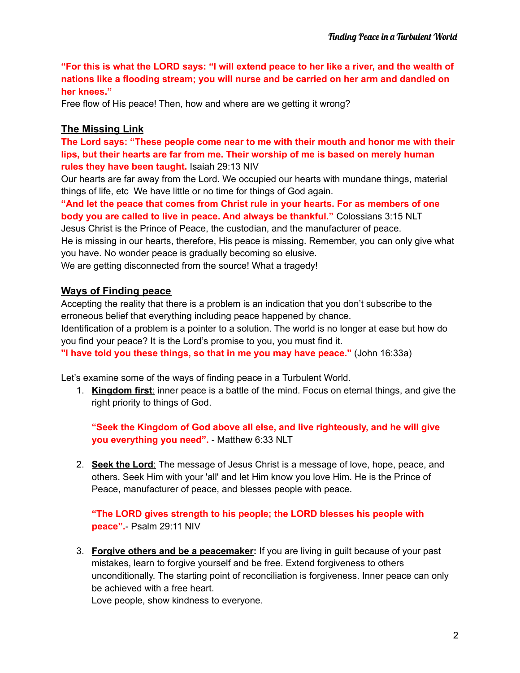"For this is what the LORD says: "I will extend peace to her like a river, and the wealth of **nations like a flooding stream; you will nurse and be carried on her arm and dandled on her knees."**

Free flow of His peace! Then, how and where are we getting it wrong?

## **The Missing Link**

**The Lord says: "These people come near to me with their mouth and honor me with their lips, but their hearts are far from me. Their worship of me is based on merely human rules they have been taught.** Isaiah 29:13 NIV

Our hearts are far away from the Lord. We occupied our hearts with mundane things, material things of life, etc We have little or no time for things of God again.

**"And let the peace that comes from Christ rule in your hearts. For as members of one body you are called to live in peace. And always be thankful."** Colossians 3:15 NLT

Jesus Christ is the Prince of Peace, the custodian, and the manufacturer of peace. He is missing in our hearts, therefore, His peace is missing. Remember, you can only give what you have. No wonder peace is gradually becoming so elusive.

We are getting disconnected from the source! What a tragedy!

## **Ways of Finding peace**

Accepting the reality that there is a problem is an indication that you don't subscribe to the erroneous belief that everything including peace happened by chance.

Identification of a problem is a pointer to a solution. The world is no longer at ease but how do you find your peace? It is the Lord's promise to you, you must find it.

**"I have told you these things, so that in me you may have peace."** (John 16:33a)

Let's examine some of the ways of finding peace in a Turbulent World.

1. **Kingdom first**: inner peace is a battle of the mind. Focus on eternal things, and give the right priority to things of God.

**"Seek the Kingdom of God above all else, and live righteously, and he will give you everything you need".** - Matthew 6:33 NLT

2. **Seek the Lord**: The message of Jesus Christ is a message of love, hope, peace, and others. Seek Him with your 'all' and let Him know you love Him. He is the Prince of Peace, manufacturer of peace, and blesses people with peace.

**"The LORD gives strength to his people; the LORD blesses his people with peace".**- Psalm 29:11 NIV

3. **Forgive others and be a peacemaker:** If you are living in guilt because of your past mistakes, learn to forgive yourself and be free. Extend forgiveness to others unconditionally. The starting point of reconciliation is forgiveness. Inner peace can only be achieved with a free heart.

Love people, show kindness to everyone.